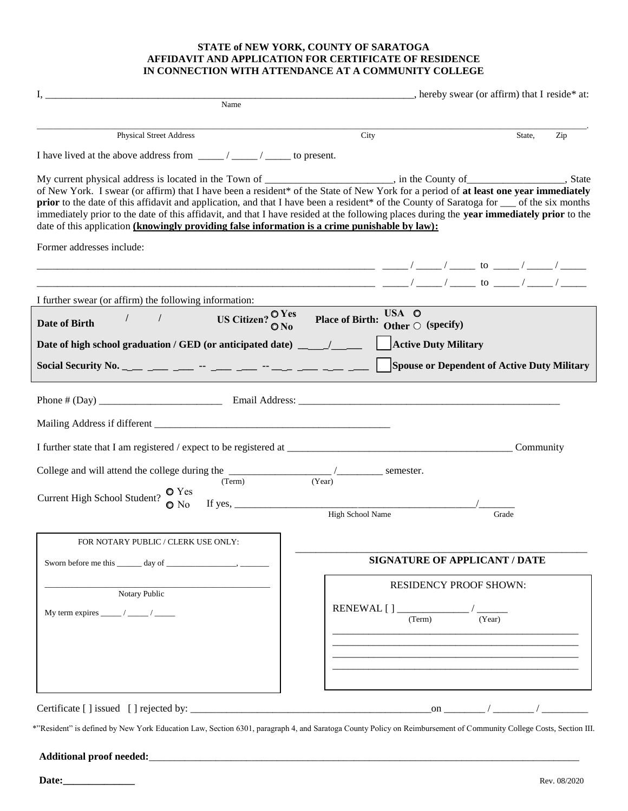#### **STATE of NEW YORK, COUNTY OF SARATOGA AFFIDAVIT AND APPLICATION FOR CERTIFICATE OF RESIDENCE IN CONNECTION WITH ATTENDANCE AT A COMMUNITY COLLEGE**

| <u>I, produced and the contract of the contract of the contract of the contract of the contract of the contract of the contract of the contract of the contract of the contract of the contract of the contract of the contract </u>                                                                                                                                                                                                                                                                                                                                                                                                                     |                                      | _______________________, hereby swear (or affirm) that I reside* at: |               |           |     |
|----------------------------------------------------------------------------------------------------------------------------------------------------------------------------------------------------------------------------------------------------------------------------------------------------------------------------------------------------------------------------------------------------------------------------------------------------------------------------------------------------------------------------------------------------------------------------------------------------------------------------------------------------------|--------------------------------------|----------------------------------------------------------------------|---------------|-----------|-----|
| Name                                                                                                                                                                                                                                                                                                                                                                                                                                                                                                                                                                                                                                                     |                                      |                                                                      |               |           |     |
| <b>Physical Street Address</b>                                                                                                                                                                                                                                                                                                                                                                                                                                                                                                                                                                                                                           | City                                 |                                                                      |               | State,    | Zip |
| I have lived at the above address from $\frac{1}{\sqrt{1-\frac{1}{1-\cdots}}}/\frac{1}{\sqrt{1-\frac{1}{1-\cdots}}}$ to present.                                                                                                                                                                                                                                                                                                                                                                                                                                                                                                                         |                                      |                                                                      |               |           |     |
| My current physical address is located in the Town of _____________________, in the County of _______________, State<br>of New York. I swear (or affirm) that I have been a resident* of the State of New York for a period of at least one year immediately<br>prior to the date of this affidavit and application, and that I have been a resident* of the County of Saratoga for ___ of the six months<br>immediately prior to the date of this affidavit, and that I have resided at the following places during the year immediately prior to the<br>date of this application (knowingly providing false information is a crime punishable by law): |                                      |                                                                      |               |           |     |
| Former addresses include:                                                                                                                                                                                                                                                                                                                                                                                                                                                                                                                                                                                                                                |                                      |                                                                      |               |           |     |
|                                                                                                                                                                                                                                                                                                                                                                                                                                                                                                                                                                                                                                                          |                                      |                                                                      |               |           |     |
| I further swear (or affirm) the following information:                                                                                                                                                                                                                                                                                                                                                                                                                                                                                                                                                                                                   |                                      | USA O                                                                |               |           |     |
| US Citizen? $\frac{O\,Yes}{O\,No}$ Place of Birth:<br>$\overline{\phantom{a}}$<br>$\sqrt{2}$<br>Date of Birth                                                                                                                                                                                                                                                                                                                                                                                                                                                                                                                                            |                                      | Other $\bigcirc$ (specify)                                           |               |           |     |
| Date of high school graduation / GED (or anticipated date) __ / __                                                                                                                                                                                                                                                                                                                                                                                                                                                                                                                                                                                       |                                      | <b>Active Duty Military</b>                                          |               |           |     |
|                                                                                                                                                                                                                                                                                                                                                                                                                                                                                                                                                                                                                                                          |                                      | Spouse or Dependent of Active Duty Military                          |               |           |     |
|                                                                                                                                                                                                                                                                                                                                                                                                                                                                                                                                                                                                                                                          |                                      |                                                                      |               |           |     |
|                                                                                                                                                                                                                                                                                                                                                                                                                                                                                                                                                                                                                                                          |                                      |                                                                      |               | Community |     |
| College and will attend the college during the __________________________________<br>(Term)<br>Current High School Student? $\bigcirc$ Yes                                                                                                                                                                                                                                                                                                                                                                                                                                                                                                               | $\frac{1}{(Year)}$ semester.         |                                                                      |               |           |     |
| $\bullet$ No                                                                                                                                                                                                                                                                                                                                                                                                                                                                                                                                                                                                                                             | High School Name                     |                                                                      | Grade         |           |     |
| FOR NOTARY PUBLIC / CLERK USE ONLY:                                                                                                                                                                                                                                                                                                                                                                                                                                                                                                                                                                                                                      |                                      |                                                                      |               |           |     |
|                                                                                                                                                                                                                                                                                                                                                                                                                                                                                                                                                                                                                                                          | <b>SIGNATURE OF APPLICANT / DATE</b> |                                                                      |               |           |     |
| Notary Public                                                                                                                                                                                                                                                                                                                                                                                                                                                                                                                                                                                                                                            |                                      | <b>RESIDENCY PROOF SHOWN:</b>                                        |               |           |     |
| My term expires $\frac{\ }{\ }$ / _______ / _______ /                                                                                                                                                                                                                                                                                                                                                                                                                                                                                                                                                                                                    |                                      | (Term)                                                               | (Year)        |           |     |
|                                                                                                                                                                                                                                                                                                                                                                                                                                                                                                                                                                                                                                                          |                                      |                                                                      |               |           |     |
| Certificate [] issued [] rejected by:                                                                                                                                                                                                                                                                                                                                                                                                                                                                                                                                                                                                                    |                                      |                                                                      | on $\sqrt{2}$ |           |     |

\*"Resident" is defined by New York Education Law, Section 6301, paragraph 4, and Saratoga County Policy on Reimbursement of Community College Costs, Section III.

## **Additional proof needed:**\_\_\_\_\_\_\_\_\_\_\_\_\_\_\_\_\_\_\_\_\_\_\_\_\_\_\_\_\_\_\_\_\_\_\_\_\_\_\_\_\_\_\_\_\_\_\_\_\_\_\_\_\_\_\_\_\_\_\_\_\_\_\_\_\_\_\_\_\_\_\_\_\_\_\_\_\_\_\_\_\_\_\_\_